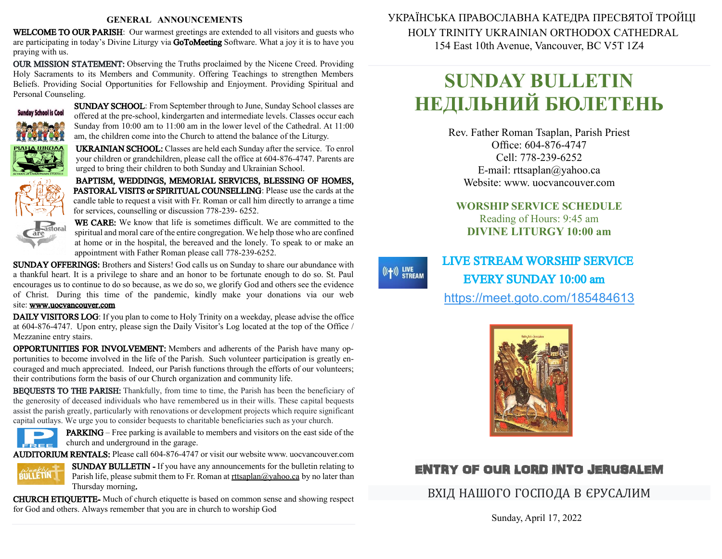#### **GENERAL ANNOUNCEMENTS**

WELCOME TO OUR PARISH: Our warmest greetings are extended to all visitors and guests who are participating in today's Divine Liturgy via GoToMeeting Software. What a joy it is to have you praying with us.

OUR MISSION STATEMENT: Observing the Truths proclaimed by the Nicene Creed. Providing Holy Sacraments to its Members and Community. Offering Teachings to strengthen Members Beliefs. Providing Social Opportunities for Fellowship and Enjoyment. Providing Spiritual and Personal Counseling.



SUNDAY SCHOOL: From September through to June, Sunday School classes are offered at the pre-school, kindergarten and intermediate levels. Classes occur each Sunday from 10:00 am to 11:00 am in the lower level of the Cathedral. At 11:00 am, the children come into the Church to attend the balance of the Liturgy.

UKRAINIAN SCHOOL: Classes are held each Sunday after the service. To enrol your children or grandchildren, please call the office at 604-876-4747. Parents are urged to bring their children to both Sunday and Ukrainian School.

BAPTISM, WEDDINGS, MEMORIAL SERVICES, BLESSING OF HOMES, PASTORAL VISITS or SPIRITUAL COUNSELLING: Please use the cards at the candle table to request a visit with Fr. Roman or call him directly to arrange a time for services, counselling or discussion 778-239- 6252.



WE CARE: We know that life is sometimes difficult. We are committed to the spiritual and moral care of the entire congregation. We help those who are confined at home or in the hospital, the bereaved and the lonely. To speak to or make an appointment with Father Roman please call 778-239-6252.

SUNDAY OFFERINGS: Brothers and Sisters! God calls us on Sunday to share our abundance with a thankful heart. It is a privilege to share and an honor to be fortunate enough to do so. St. Paul encourages us to continue to do sobecause, as we do so, we glorify God and others see the evidence of Christ. During this time of the pandemic, kindly make your donations via our web site: [www.uocvancouver.com](http://www.uocvancouver.com/) 

DAILY VISITORS LOG: If you plan to come to Holy Trinity on a weekday, please advise the office at 604-876-4747. Upon entry, please sign the Daily Visitor's Log located at the top of the Office / Mezzanine entry stairs.

OPPORTUNITIES FOR INVOLVEMENT: Members and adherents of the Parish have many opportunities to become involved in the life of the Parish. Such volunteer participation is greatly encouraged and much appreciated. Indeed, our Parish functions through the efforts of our volunteers; their contributions form the basis of our Church organization and community life.

BEQUESTS TO THE PARISH: Thankfully, from time to time, the Parish has been the beneficiary of the generosity of deceased individuals who have remembered us in their wills. These capital bequests assist the parish greatly, particularly with renovations or development projects which require significant capital outlays. We urge you to consider bequests to charitable beneficiaries such as your church.



PARKING –Free parking is available to members and visitors on the east side of the church and underground in the garage.

AUDITORIUM RENTALS: Please call 604-876-4747 or visit our website www. uocvancouver.com



SUNDAY BULLETIN - If you have any announcements for the bulletin relating to Parish life, please submit them to Fr. Roman at  $rtt \frac{\partial y}{\partial x}$  and  $\frac{\partial y}{\partial y}$  and later than Thursday morning.

CHURCH ETIQUETTE- Much of church etiquette is based on common sense and showing respect for God and others. Always remember that you are in church to worship God

 УКРАЇНСЬКА ПРАВОСЛАВНА КАТЕДРА ПРЕСВЯТОЇ ТРОЙЦІ HOLY TRINITY UKRAINIAN ORTHODOX CATHEDRAL 154 East 10th Avenue, Vancouver, BC V5T 1Z4

# **SUNDAY BULLETIN НЕДІЛЬНИЙ БЮЛЕТЕНЬ**

Rev. Father Roman Tsaplan, Parish Priest Office: 604-876-4747 Cell: 778-239-6252 E-mail: rttsaplan@yahoo.ca Website: www. uocvancouver.com

**WORSHIP SERVICE SCHEDULE** Reading of Hours: 9:45 am **DIVINE LITURGY 10:00 am**

 $((+))$  LIVE<br>STREAM

 LIVE STREAM WORSHIP SERVICE EVERY SUNDAY 10:00 am <https://meet.goto.com/185484613>



# ENTRY OF OUR LORD INTO JERUSALEM

ВХІД НАШОГО ГОСПОДА В ЄРУСАЛИМ

Sunday, April 17, 2022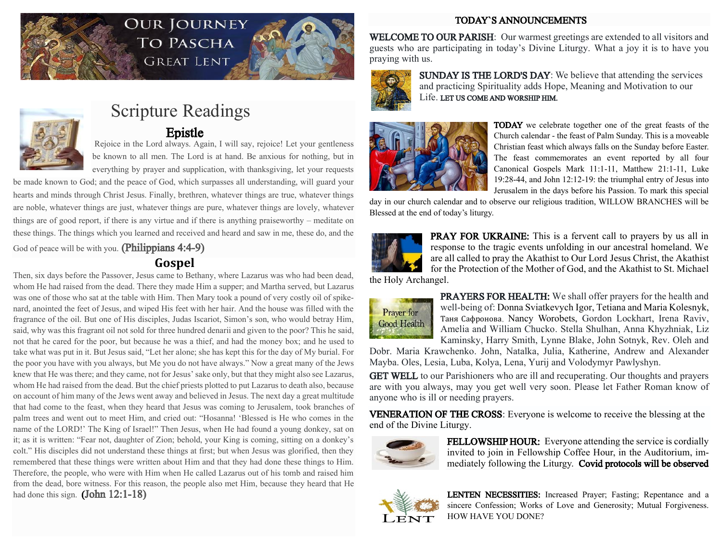

# OUR JOURNEY TO PASCHA **GREAT LENT**





# Scripture Readings<br>Epistle

 Epistle Rejoice in the Lord always. Again, I will say, rejoice! Let your gentleness be known to all men. The Lord is at hand. Be anxious for nothing, but in everything by prayer and supplication, with thanksgiving, let your requests

be made known to God; and the peace of God, which surpasses all understanding, will guard your hearts and minds through Christ Jesus. Finally, brethren, whatever things are true, whatever things are noble, whatever things are just, whatever things are pure, whatever things are lovely, whatever things are of good report, if there is any virtue and if there is anything praiseworthy – meditate on these things. The things which you learned and received and heard and saw in me, these do, and the

God of peace will be with you. (Philippians 4:4-9)

# **Gospel**

Then, six days before the Passover, Jesus came to Bethany, where Lazarus was who had been dead, whom He had raised from the dead. There they made Him a supper; and Martha served, but Lazarus was one of those who sat at the table with Him. Then Mary took a pound of very costly oil of spikenard, anointed the feet of Jesus, and wiped His feet with her hair. And the house was filled with the fragrance of the oil. But one of His disciples, Judas Iscariot, Simon's son, who would betray Him, said, why was this fragrant oil not sold for three hundred denarii and given to the poor? This he said, not that he cared for the poor, but because he was a thief, and had the money box; and he used to take what was put in it. But Jesus said, "Let her alone; she has kept this for the day of My burial. For the poor you have with you always, but Me you do not have always." Now a great many of the Jews knew that He was there; and they came, not for Jesus' sake only, but that they might also see Lazarus, whom He had raised from the dead. But the chief priests plotted to put Lazarus to death also, because on account of him many of the Jews went away and believed in Jesus. The next day a great multitude that had come to the feast, when they heard that Jesus was coming to Jerusalem, took branches of palm trees and went out to meet Him, and cried out: "Hosanna! 'Blessed is He who comes in the name of the LORD!' The King of Israel!" Then Jesus, when He had found a young donkey, sat on it; as it is written: "Fear not, daughter of Zion; behold, your King is coming, sitting on a donkey's colt." His disciples did not understand these things at first; but when Jesus was glorified, then they remembered that these things were written about Him and that they had done these things to Him. Therefore, the people, who were with Him when He called Lazarus out of his tomb and raised him from the dead, bore witness. For this reason, the people also met Him, because they heard that He had done this sign. **(John 12:1-18)** 

### TODAY`S ANNOUNCEMENTS

WELCOME TO OUR PARISH: Our warmest greetings are extended to all visitors and guests who are participating in today's Divine Liturgy. What a joy it is to have you praying with us.



SUNDAY IS THE LORD'S DAY: We believe that attending the services and practicing Spirituality adds Hope, Meaning and Motivation to our Life. LET US COME AND WORSHIP HIM.



TODAY we celebrate together one of the great feasts of the Church calendar - the feast of Palm Sunday. This is a moveable Christian feast which always falls on the Sunday before Easter. The feast commemorates an event reported by all four Canonical Gospels Mark 11:1-11, Matthew 21:1-11, Luke 19:28-44, and John 12:12-19: the triumphal entry of Jesus into Jerusalem in the days before his Passion. To mark this special

day in our church calendar and to observe our religious tradition, WILLOW BRANCHES will be Blessed at the end of today's liturgy.



PRAY FOR UKRAINE: This is a fervent call to prayers by us all in response to the tragic events unfolding in our ancestral homeland. We are all called to pray the Akathist to Our Lord Jesus Christ, the Akathist for the Protection of the Mother of God, and the Akathist to St. Michael

the Holy Archangel.



PRAYERS FOR HEALTH: We shall offer prayers for the health and well-being of: Donna Sviatkevych Igor, Tetiana and Maria Kolesnyk, Таня Сафронова, Nancy Worobets, Gordon Lockhart, Irena Raviv, Amelia and William Chucko. Stella Shulhan, Anna Khyzhniak, Liz Kaminsky, Harry Smith, Lynne Blake, John Sotnyk, Rev. Oleh and

Dobr. Maria Krawchenko. John, Natalka, Julia, Katherine, Andrew and Alexander Mayba. Oles, Lesia, Luba, Kolya, Lena, Yurij and Volodymyr Pawlyshyn.

GET WELL to our Parishioners who are ill and recuperating. Our thoughts and prayers are with you always, may you get well very soon. Please let Father Roman know of anyone who is ill or needing prayers.

VENERATION OF THE CROSS: Everyone is welcome to receive the blessing at the end of the Divine Liturgy.



FELLOWSHIP HOUR: Everyone attending the service is cordially invited to join in Fellowship Coffee Hour, in the Auditorium, immediately following the Liturgy. Covid protocols will be observed



LENTEN NECESSITIES: Increased Prayer; Fasting; Repentance and a sincere Confession; Works of Love and Generosity; Mutual Forgiveness. HOW HAVE YOU DONE?